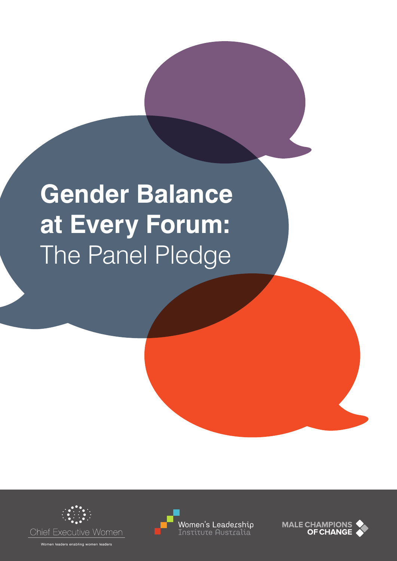# **Gender Balance at Every Forum:**  The Panel Pledge







Women leaders enabling women leaders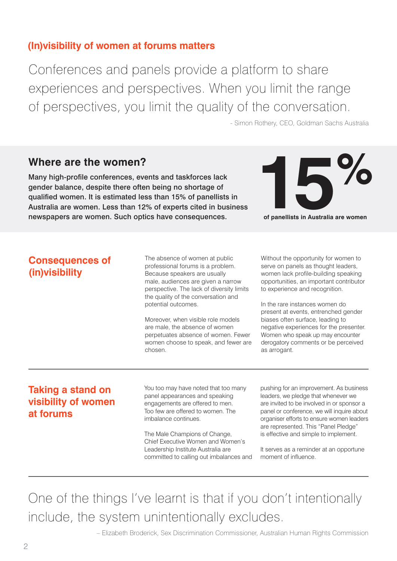## **(In)visibility of women at forums matters**

Conferences and panels provide a platform to share experiences and perspectives. When you limit the range of perspectives, you limit the quality of the conversation.

- Simon Rothery, CEO, Goldman Sachs Australia

## **Where are the women?**

Many high-profile conferences, events and taskforces lack gender balance, despite there often being no shortage of qualified women. It is estimated less than 15% of panellists in Australia are women. Less than 12% of experts cited in business newspapers are women. Such optics have consequences.



**Consequences of** 

**(in)visibility**

The absence of women at public professional forums is a problem. Because speakers are usually male, audiences are given a narrow perspective. The lack of diversity limits the quality of the conversation and potential outcomes.

Moreover, when visible role models are male, the absence of women perpetuates absence of women. Fewer women choose to speak, and fewer are chosen.

Without the opportunity for women to serve on panels as thought leaders, women lack profile-building speaking opportunities, an important contributor to experience and recognition.

In the rare instances women do present at events, entrenched gender biases often surface, leading to negative experiences for the presenter. Women who speak up may encounter derogatory comments or be perceived as arrogant.

## **Taking a stand on visibility of women at forums**

You too may have noted that too many panel appearances and speaking engagements are offered to men. Too few are offered to women. The imbalance continues.

The Male Champions of Change, Chief Executive Women and Women's Leadership Institute Australia are committed to calling out imbalances and pushing for an improvement. As business leaders, we pledge that whenever we are invited to be involved in or sponsor a panel or conference, we will inquire about organiser efforts to ensure women leaders are represented. This "Panel Pledge" is effective and simple to implement.

It serves as a reminder at an opportune moment of influence.

One of the things I've learnt is that if you don't intentionally include, the system unintentionally excludes.

– Elizabeth Broderick, Sex Discrimination Commissioner, Australian Human Rights Commission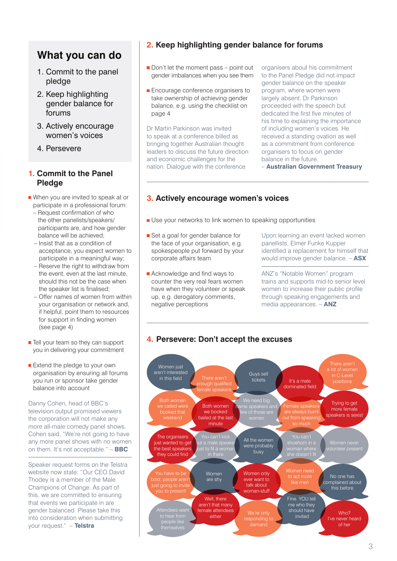# **What you can do**

- 1. Commit to the panel pledge
- 2. Keep highlighting gender balance for forums
- 3. Actively encourage women's voices
- 4. Persevere

#### **1. Commit to the Panel Pledge**

- When you are invited to speak at or participate in a professional forum:
	- Request confirmation of who the other panelists/speakers/ participants are, and how gender balance will be achieved;
	- Insist that as a condition of acceptance, you expect women to participate in a meaningful way;
	- Reserve the right to withdraw from the event, even at the last minute, should this not be the case when the speaker list is finalised;
	- Offer names of women from within your organisation or network and, if helpful, point them to resources for support in finding women (see page 4)
- $\blacksquare$  Tell your team so they can support you in delivering your commitment
- Extend the pledge to your own organisation by ensuring all forums you run or sponsor take gender balance into account

Danny Cohen, head of BBC's television output promised viewers the corporation will not make any more all-male comedy panel shows. Cohen said, "We're not going to have any more panel shows with no women on them. It's not acceptable." – **BBC**

Speaker request forms on the Telstra website now state: "Our CEO David Thodey is a member of the Male Champions of Change. As part of this, we are committed to ensuring that events we participate in are gender balanced. Please take this into consideration when submitting your request." – **Telstra**

#### **2. Keep highlighting gender balance for forums**

- Don't let the moment pass point out gender imbalances when you see them
- **Encourage conference organisers to** take ownership of achieving gender balance, e.g. using the checklist on page 4

Dr Martin Parkinson was invited to speak at a conference billed as bringing together Australian thought leaders to discuss the future direction and economic challenges for the nation. Dialogue with the conference

organisers about his commitment to the Panel Pledge did not impact gender balance on the speaker program, where women were largely absent. Dr Parkinson proceeded with the speech but dedicated the first five minutes of his time to explaining the importance of including women's voices. He received a standing ovation as well as a commitment from conference organisers to focus on gender balance in the future.

– **Australian Government Treasury**

#### **3. Actively encourage women's voices**

- Use your networks to link women to speaking opportunities
- Set a goal for gender balance for the face of your organisation, e.g. spokespeople put forward by your corporate affairs team
- **Acknowledge and find ways to** counter the very real fears women have when they volunteer or speak up, e.g. derogatory comments, negative perceptions

Upon learning an event lacked women panellists, Elmer Funke Kupper identified a replacement for himself that would improve gender balance. – **ASX**

ANZ's "Notable Women" program trains and supports mid-to senior level women to increase their public profile through speaking engagements and media appearances. – **ANZ**



### **4. Persevere: Don't accept the excuses**

<sup>3</sup>